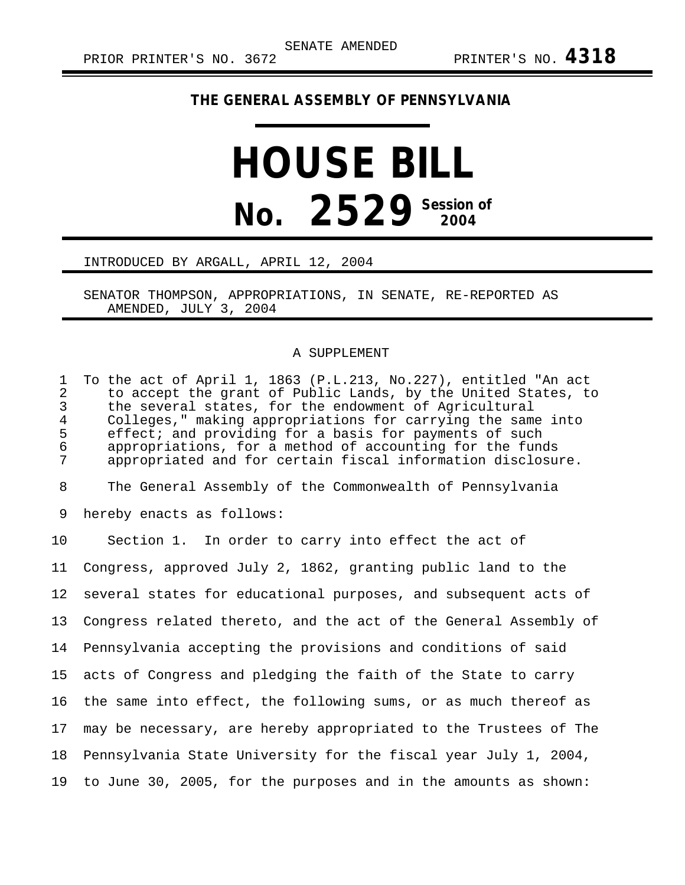## **THE GENERAL ASSEMBLY OF PENNSYLVANIA**

## **HOUSE BILL No.** 2529 Session of

## INTRODUCED BY ARGALL, APRIL 12, 2004

SENATOR THOMPSON, APPROPRIATIONS, IN SENATE, RE-REPORTED AS AMENDED, JULY 3, 2004

## A SUPPLEMENT

1 To the act of April 1, 1863 (P.L.213, No.227), entitled "An act 2 to accept the grant of Public Lands, by the United States, to<br>3 the several states, for the endowment of Agricultural 3 the several states, for the endowment of Agricultural<br>4 Colleges." making appropriations for carrying the same 4 Colleges," making appropriations for carrying the same into<br>5 effect; and providing for a basis for payments of such 5 effect; and providing for a basis for payments of such<br>6 appropriations, for a method of accounting for the fund 6 appropriations, for a method of accounting for the funds appropriated and for certain fiscal information disclosure. 8 The General Assembly of the Commonwealth of Pennsylvania 9 hereby enacts as follows: 10 Section 1. In order to carry into effect the act of 11 Congress, approved July 2, 1862, granting public land to the 12 several states for educational purposes, and subsequent acts of 13 Congress related thereto, and the act of the General Assembly of 14 Pennsylvania accepting the provisions and conditions of said 15 acts of Congress and pledging the faith of the State to carry 16 the same into effect, the following sums, or as much thereof as 17 may be necessary, are hereby appropriated to the Trustees of The 18 Pennsylvania State University for the fiscal year July 1, 2004, 19 to June 30, 2005, for the purposes and in the amounts as shown: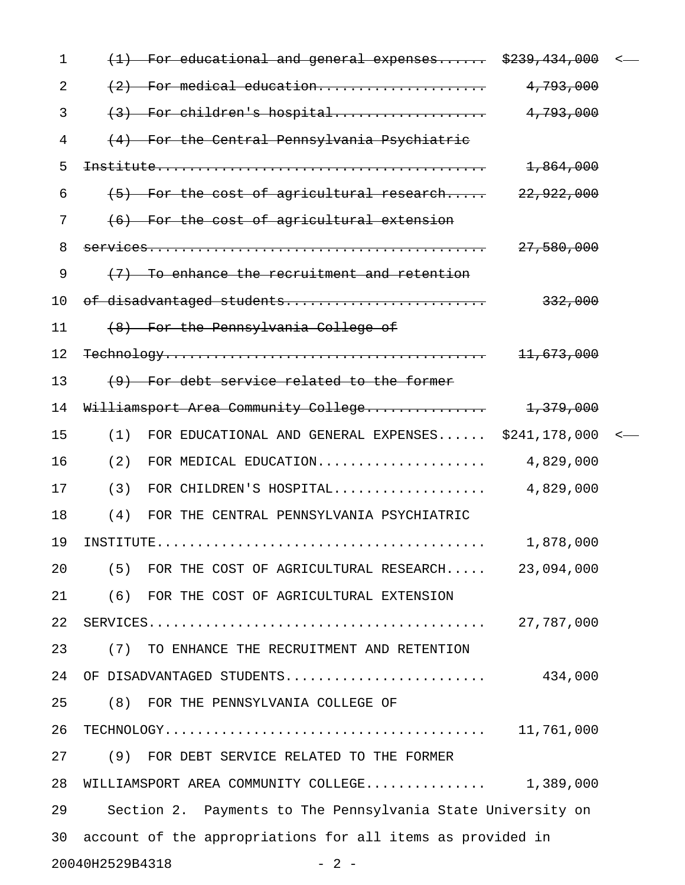| $\mathbf 1$ | educational and general expenses \$239,434,000              |                       |  |
|-------------|-------------------------------------------------------------|-----------------------|--|
| 2           | (2) For medical education                                   | 4,793,000             |  |
| 3           | (3) For children's hospital                                 | 4,793,000             |  |
| 4           | (4) For the Central Pennsylvania Psychiatric                |                       |  |
| 5           |                                                             | 1,864,000             |  |
| 6           | (5) For the cost of agricultural research                   | 22,922,000            |  |
| 7           | (6) For the cost of agricultural extension                  |                       |  |
| 8           |                                                             | 27,580,000            |  |
| 9           | (7) To enhance the recruitment and retention                |                       |  |
| 10          | of disadvantaged students                                   | 332,000               |  |
| 11          | (8) For the Pennsylvania College of                         |                       |  |
| 12          |                                                             | <del>11,673,000</del> |  |
| 13          | (9) For debt service related to the former                  |                       |  |
| 14          | Williamsport Area Community College                         | <del>1,379,000</del>  |  |
| 15          | FOR EDUCATIONAL AND GENERAL EXPENSES \$241,178,000<br>(1)   |                       |  |
| 16          | (2)<br>FOR MEDICAL EDUCATION                                | 4,829,000             |  |
| 17          | (3)<br>FOR CHILDREN'S HOSPITAL                              | 4,829,000             |  |
| 18          | (4)<br>FOR THE CENTRAL PENNSYLVANIA PSYCHIATRIC             |                       |  |
| 19          |                                                             | 1,878,000             |  |
| 20          | (5) FOR THE COST OF AGRICULTURAL RESEARCH 23,094,000        |                       |  |
| 21          | (6) FOR THE COST OF AGRICULTURAL EXTENSION                  |                       |  |
| 22          |                                                             |                       |  |
| 23          | (7) TO ENHANCE THE RECRUITMENT AND RETENTION                |                       |  |
| 24          |                                                             |                       |  |
| 25          | (8) FOR THE PENNSYLVANIA COLLEGE OF                         |                       |  |
| 26          |                                                             |                       |  |
| 27          | (9) FOR DEBT SERVICE RELATED TO THE FORMER                  |                       |  |
| 28          | WILLIAMSPORT AREA COMMUNITY COLLEGE 1,389,000               |                       |  |
| 29          | Section 2. Payments to The Pennsylvania State University on |                       |  |
| 30          | account of the appropriations for all items as provided in  |                       |  |
|             | 20040H2529B4318<br>$-2-$                                    |                       |  |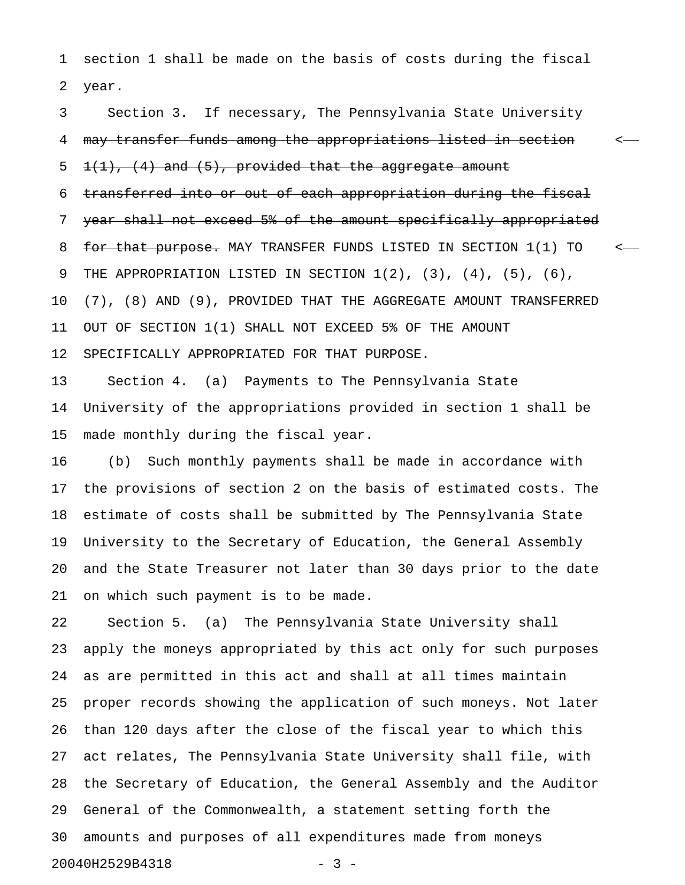1 section 1 shall be made on the basis of costs during the fiscal 2 year.

3 Section 3. If necessary, The Pennsylvania State University 4 may transfer funds among the appropriations listed in section  $\sim$  $5$   $1(1)$ ,  $(4)$  and  $(5)$ , provided that the aggregate amount 6 transferred into or out of each appropriation during the fiscal 7 year shall not exceed 5% of the amount specifically appropriated 8 for that purpose. MAY TRANSFER FUNDS LISTED IN SECTION 1(1) TO  $\sim$ -9 THE APPROPRIATION LISTED IN SECTION 1(2), (3), (4), (5), (6), 10 (7), (8) AND (9), PROVIDED THAT THE AGGREGATE AMOUNT TRANSFERRED 11 OUT OF SECTION 1(1) SHALL NOT EXCEED 5% OF THE AMOUNT 12 SPECIFICALLY APPROPRIATED FOR THAT PURPOSE.

13 Section 4. (a) Payments to The Pennsylvania State 14 University of the appropriations provided in section 1 shall be 15 made monthly during the fiscal year.

16 (b) Such monthly payments shall be made in accordance with 17 the provisions of section 2 on the basis of estimated costs. The 18 estimate of costs shall be submitted by The Pennsylvania State 19 University to the Secretary of Education, the General Assembly 20 and the State Treasurer not later than 30 days prior to the date 21 on which such payment is to be made.

22 Section 5. (a) The Pennsylvania State University shall 23 apply the moneys appropriated by this act only for such purposes 24 as are permitted in this act and shall at all times maintain 25 proper records showing the application of such moneys. Not later 26 than 120 days after the close of the fiscal year to which this 27 act relates, The Pennsylvania State University shall file, with 28 the Secretary of Education, the General Assembly and the Auditor 29 General of the Commonwealth, a statement setting forth the 30 amounts and purposes of all expenditures made from moneys 20040H2529B4318 - 3 -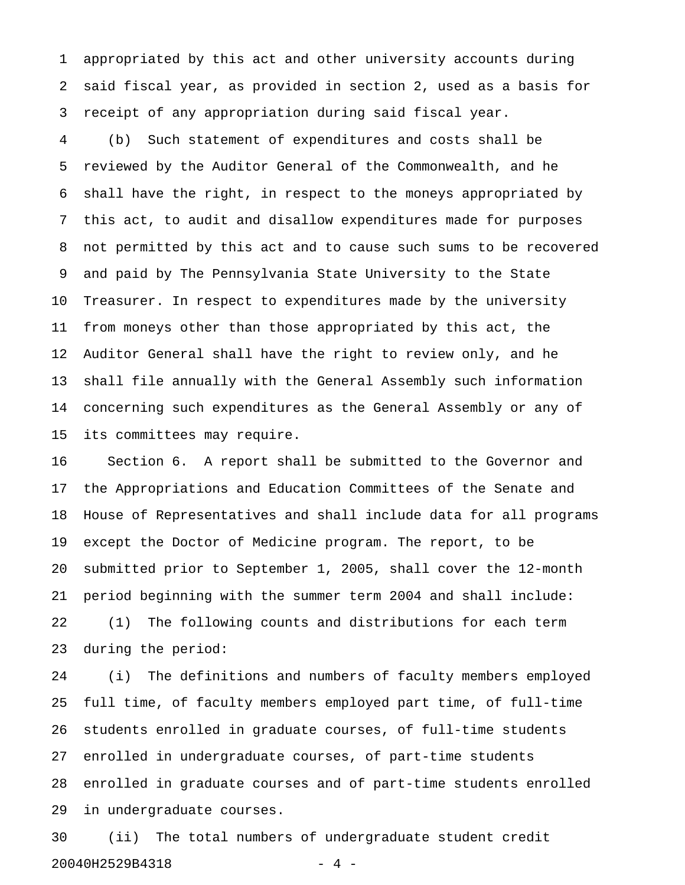1 appropriated by this act and other university accounts during 2 said fiscal year, as provided in section 2, used as a basis for 3 receipt of any appropriation during said fiscal year.

4 (b) Such statement of expenditures and costs shall be 5 reviewed by the Auditor General of the Commonwealth, and he 6 shall have the right, in respect to the moneys appropriated by 7 this act, to audit and disallow expenditures made for purposes 8 not permitted by this act and to cause such sums to be recovered 9 and paid by The Pennsylvania State University to the State 10 Treasurer. In respect to expenditures made by the university 11 from moneys other than those appropriated by this act, the 12 Auditor General shall have the right to review only, and he 13 shall file annually with the General Assembly such information 14 concerning such expenditures as the General Assembly or any of 15 its committees may require.

16 Section 6. A report shall be submitted to the Governor and 17 the Appropriations and Education Committees of the Senate and 18 House of Representatives and shall include data for all programs 19 except the Doctor of Medicine program. The report, to be 20 submitted prior to September 1, 2005, shall cover the 12-month 21 period beginning with the summer term 2004 and shall include: 22 (1) The following counts and distributions for each term 23 during the period:

24 (i) The definitions and numbers of faculty members employed 25 full time, of faculty members employed part time, of full-time 26 students enrolled in graduate courses, of full-time students 27 enrolled in undergraduate courses, of part-time students 28 enrolled in graduate courses and of part-time students enrolled 29 in undergraduate courses.

30 (ii) The total numbers of undergraduate student credit 20040H2529B4318 - 4 -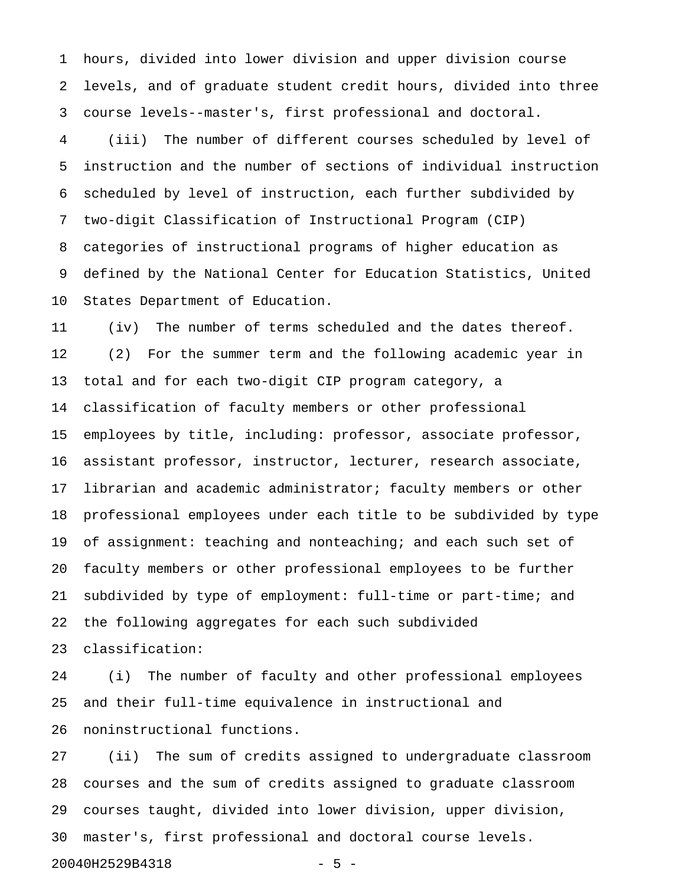1 hours, divided into lower division and upper division course 2 levels, and of graduate student credit hours, divided into three 3 course levels--master's, first professional and doctoral.

4 (iii) The number of different courses scheduled by level of 5 instruction and the number of sections of individual instruction 6 scheduled by level of instruction, each further subdivided by 7 two-digit Classification of Instructional Program (CIP) 8 categories of instructional programs of higher education as 9 defined by the National Center for Education Statistics, United 10 States Department of Education.

11 (iv) The number of terms scheduled and the dates thereof. 12 (2) For the summer term and the following academic year in 13 total and for each two-digit CIP program category, a 14 classification of faculty members or other professional 15 employees by title, including: professor, associate professor, 16 assistant professor, instructor, lecturer, research associate, 17 librarian and academic administrator; faculty members or other 18 professional employees under each title to be subdivided by type 19 of assignment: teaching and nonteaching; and each such set of 20 faculty members or other professional employees to be further 21 subdivided by type of employment: full-time or part-time; and 22 the following aggregates for each such subdivided 23 classification:

24 (i) The number of faculty and other professional employees 25 and their full-time equivalence in instructional and 26 noninstructional functions.

27 (ii) The sum of credits assigned to undergraduate classroom 28 courses and the sum of credits assigned to graduate classroom 29 courses taught, divided into lower division, upper division, 30 master's, first professional and doctoral course levels.

20040H2529B4318 - 5 -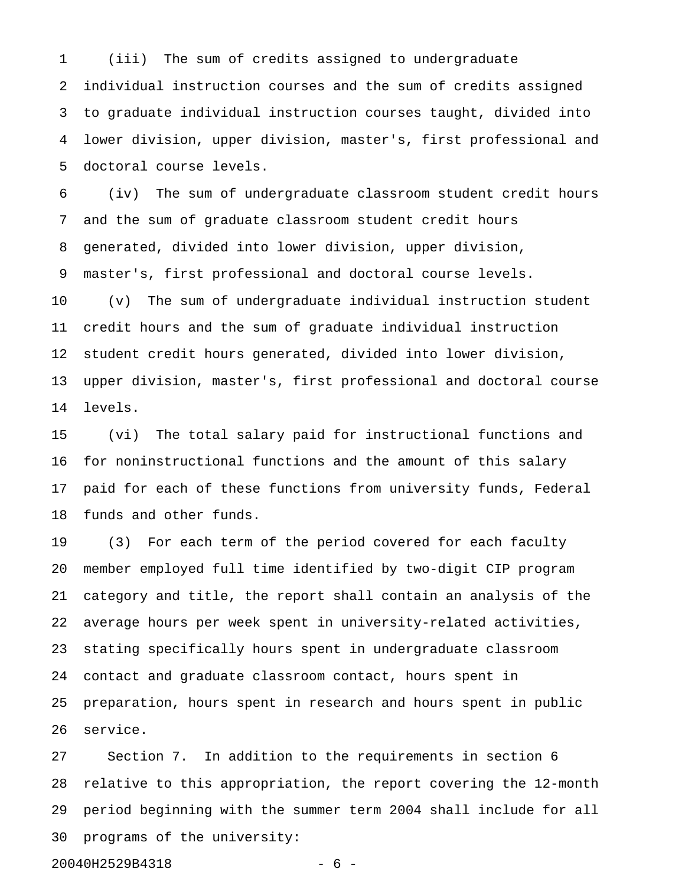1 (iii) The sum of credits assigned to undergraduate 2 individual instruction courses and the sum of credits assigned 3 to graduate individual instruction courses taught, divided into 4 lower division, upper division, master's, first professional and 5 doctoral course levels.

6 (iv) The sum of undergraduate classroom student credit hours 7 and the sum of graduate classroom student credit hours 8 generated, divided into lower division, upper division, 9 master's, first professional and doctoral course levels. 10 (v) The sum of undergraduate individual instruction student 11 credit hours and the sum of graduate individual instruction 12 student credit hours generated, divided into lower division,

13 upper division, master's, first professional and doctoral course 14 levels.

15 (vi) The total salary paid for instructional functions and 16 for noninstructional functions and the amount of this salary 17 paid for each of these functions from university funds, Federal 18 funds and other funds.

19 (3) For each term of the period covered for each faculty 20 member employed full time identified by two-digit CIP program 21 category and title, the report shall contain an analysis of the 22 average hours per week spent in university-related activities, 23 stating specifically hours spent in undergraduate classroom 24 contact and graduate classroom contact, hours spent in 25 preparation, hours spent in research and hours spent in public 26 service.

27 Section 7. In addition to the requirements in section 6 28 relative to this appropriation, the report covering the 12-month 29 period beginning with the summer term 2004 shall include for all 30 programs of the university:

20040H2529B4318 - 6 -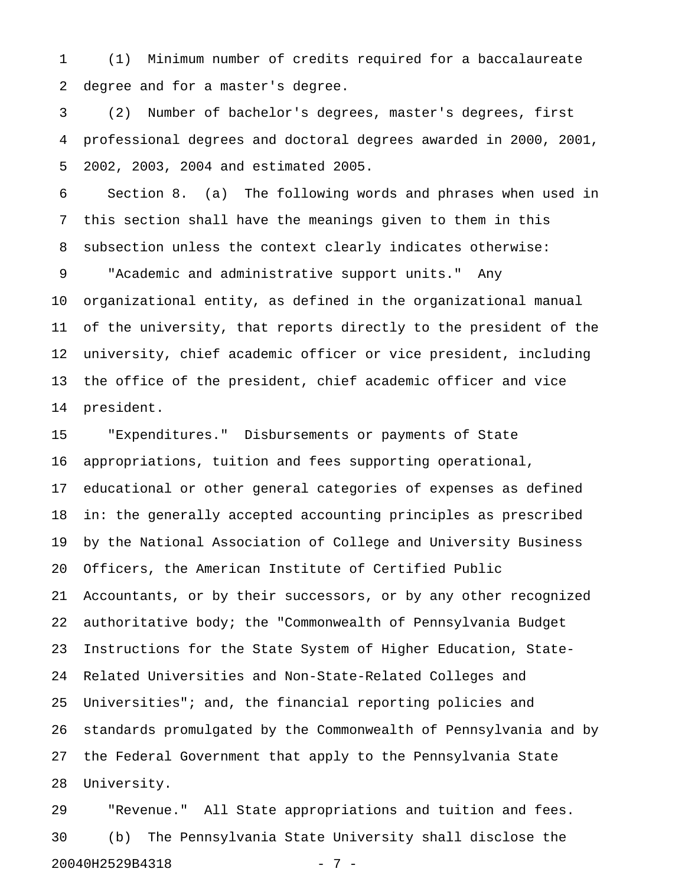1 (1) Minimum number of credits required for a baccalaureate 2 degree and for a master's degree.

3 (2) Number of bachelor's degrees, master's degrees, first 4 professional degrees and doctoral degrees awarded in 2000, 2001, 5 2002, 2003, 2004 and estimated 2005.

6 Section 8. (a) The following words and phrases when used in 7 this section shall have the meanings given to them in this 8 subsection unless the context clearly indicates otherwise:

9 "Academic and administrative support units." Any 10 organizational entity, as defined in the organizational manual 11 of the university, that reports directly to the president of the 12 university, chief academic officer or vice president, including 13 the office of the president, chief academic officer and vice 14 president.

15 "Expenditures." Disbursements or payments of State 16 appropriations, tuition and fees supporting operational, 17 educational or other general categories of expenses as defined 18 in: the generally accepted accounting principles as prescribed 19 by the National Association of College and University Business 20 Officers, the American Institute of Certified Public 21 Accountants, or by their successors, or by any other recognized 22 authoritative body; the "Commonwealth of Pennsylvania Budget 23 Instructions for the State System of Higher Education, State-24 Related Universities and Non-State-Related Colleges and 25 Universities"; and, the financial reporting policies and 26 standards promulgated by the Commonwealth of Pennsylvania and by 27 the Federal Government that apply to the Pennsylvania State 28 University.

29 "Revenue." All State appropriations and tuition and fees. 30 (b) The Pennsylvania State University shall disclose the 20040H2529B4318 - 7 -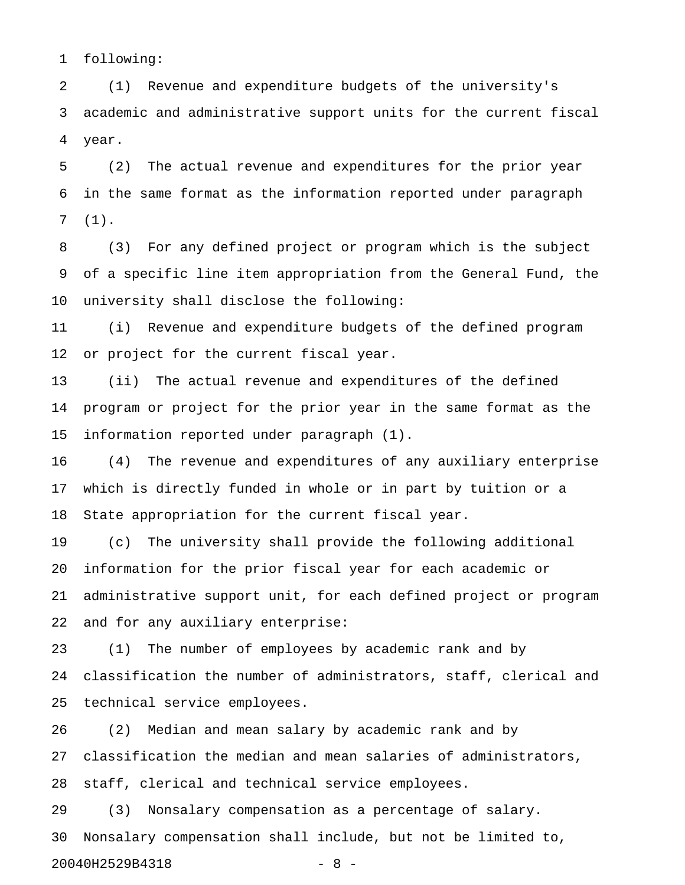1 following:

2 (1) Revenue and expenditure budgets of the university's 3 academic and administrative support units for the current fiscal 4 year.

5 (2) The actual revenue and expenditures for the prior year 6 in the same format as the information reported under paragraph 7 (1).

8 (3) For any defined project or program which is the subject 9 of a specific line item appropriation from the General Fund, the 10 university shall disclose the following:

11 (i) Revenue and expenditure budgets of the defined program 12 or project for the current fiscal year.

13 (ii) The actual revenue and expenditures of the defined 14 program or project for the prior year in the same format as the 15 information reported under paragraph (1).

16 (4) The revenue and expenditures of any auxiliary enterprise 17 which is directly funded in whole or in part by tuition or a 18 State appropriation for the current fiscal year.

19 (c) The university shall provide the following additional 20 information for the prior fiscal year for each academic or 21 administrative support unit, for each defined project or program 22 and for any auxiliary enterprise:

23 (1) The number of employees by academic rank and by 24 classification the number of administrators, staff, clerical and 25 technical service employees.

26 (2) Median and mean salary by academic rank and by 27 classification the median and mean salaries of administrators, 28 staff, clerical and technical service employees.

29 (3) Nonsalary compensation as a percentage of salary. 30 Nonsalary compensation shall include, but not be limited to, 20040H2529B4318 - 8 -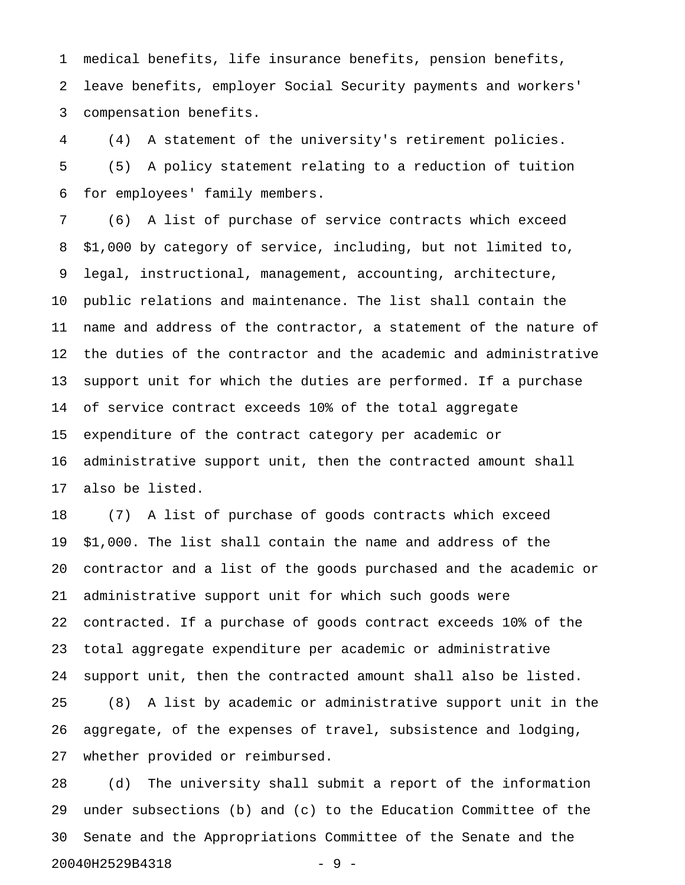1 medical benefits, life insurance benefits, pension benefits, 2 leave benefits, employer Social Security payments and workers' 3 compensation benefits.

4 (4) A statement of the university's retirement policies. 5 (5) A policy statement relating to a reduction of tuition 6 for employees' family members.

7 (6) A list of purchase of service contracts which exceed 8 \$1,000 by category of service, including, but not limited to, 9 legal, instructional, management, accounting, architecture, 10 public relations and maintenance. The list shall contain the 11 name and address of the contractor, a statement of the nature of 12 the duties of the contractor and the academic and administrative 13 support unit for which the duties are performed. If a purchase 14 of service contract exceeds 10% of the total aggregate 15 expenditure of the contract category per academic or 16 administrative support unit, then the contracted amount shall 17 also be listed.

18 (7) A list of purchase of goods contracts which exceed 19 \$1,000. The list shall contain the name and address of the 20 contractor and a list of the goods purchased and the academic or 21 administrative support unit for which such goods were 22 contracted. If a purchase of goods contract exceeds 10% of the 23 total aggregate expenditure per academic or administrative 24 support unit, then the contracted amount shall also be listed. 25 (8) A list by academic or administrative support unit in the 26 aggregate, of the expenses of travel, subsistence and lodging, 27 whether provided or reimbursed.

28 (d) The university shall submit a report of the information 29 under subsections (b) and (c) to the Education Committee of the 30 Senate and the Appropriations Committee of the Senate and the 20040H2529B4318 - 9 -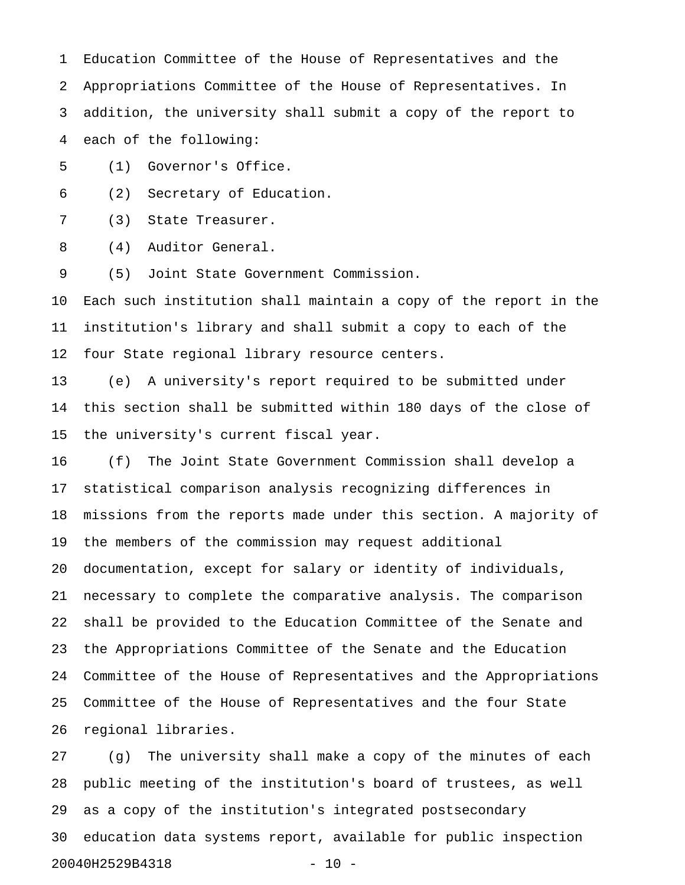1 Education Committee of the House of Representatives and the 2 Appropriations Committee of the House of Representatives. In 3 addition, the university shall submit a copy of the report to 4 each of the following:

5 (1) Governor's Office.

6 (2) Secretary of Education.

7 (3) State Treasurer.

8 (4) Auditor General.

9 (5) Joint State Government Commission.

10 Each such institution shall maintain a copy of the report in the 11 institution's library and shall submit a copy to each of the 12 four State regional library resource centers.

13 (e) A university's report required to be submitted under 14 this section shall be submitted within 180 days of the close of 15 the university's current fiscal year.

16 (f) The Joint State Government Commission shall develop a 17 statistical comparison analysis recognizing differences in 18 missions from the reports made under this section. A majority of 19 the members of the commission may request additional 20 documentation, except for salary or identity of individuals, 21 necessary to complete the comparative analysis. The comparison 22 shall be provided to the Education Committee of the Senate and 23 the Appropriations Committee of the Senate and the Education 24 Committee of the House of Representatives and the Appropriations 25 Committee of the House of Representatives and the four State 26 regional libraries.

27 (g) The university shall make a copy of the minutes of each 28 public meeting of the institution's board of trustees, as well 29 as a copy of the institution's integrated postsecondary 30 education data systems report, available for public inspection 20040H2529B4318 - 10 -